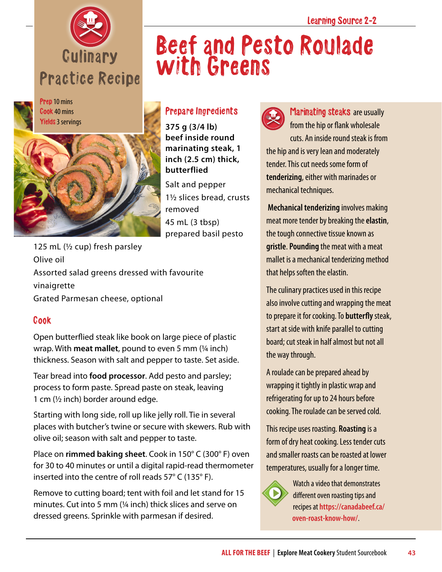



Prep 10 mins Cook 40 mins Yields 3 servings



## Prepare Ingredients

with Greens

**375 g (3/4 lb) beef inside round marinating steak, 1 inch (2.5 cm) thick, butterflied**

Salt and pepper 1½ slices bread, crusts removed 45 mL (3 tbsp) prepared basil pesto

125 mL (½ cup) fresh parsley Olive oil Assorted salad greens dressed with favourite vinaigrette Grated Parmesan cheese, optional

## Cook

Open butterflied steak like book on large piece of plastic wrap. With **meat mallet**, pound to even 5 mm (¼ inch) thickness. Season with salt and pepper to taste. Set aside.

Tear bread into **food processor**. Add pesto and parsley; process to form paste. Spread paste on steak, leaving 1 cm  $(\frac{1}{2}$  inch) border around edge.

Starting with long side, roll up like jelly roll. Tie in several places with butcher's twine or secure with skewers. Rub with olive oil; season with salt and pepper to taste.

Place on **rimmed baking sheet**. Cook in 150° C (300° F) oven for 30 to 40 minutes or until a digital rapid-read thermometer inserted into the centre of roll reads 57° C (135° F).

Remove to cutting board; tent with foil and let stand for 15 minutes. Cut into 5 mm (¼ inch) thick slices and serve on dressed greens. Sprinkle with parmesan if desired.



Beef and Pesto Roulade

Marinating steaks are usually from the hip or flank wholesale cuts. An inside round steak is from the hip and is very lean and moderately tender. This cut needs some form of **tenderizing**, either with marinades or mechanical techniques.

**Mechanical tenderizing** involves making meat more tender by breaking the **elastin**, the tough connective tissue known as **gristle**. **Pounding** the meat with a meat mallet is a mechanical tenderizing method that helps soften the elastin.

The culinary practices used in this recipe also involve cutting and wrapping the meat to prepare it for cooking. To **butterfly** steak, start at side with knife parallel to cutting board; cut steak in half almost but not all the way through.

A roulade can be prepared ahead by wrapping it tightly in plastic wrap and refrigerating for up to 24 hours before cooking. The roulade can be served cold.

This recipe uses roasting. **Roasting** is a form of dry heat cooking. Less tender cuts and smaller roasts can be roasted at lower temperatures, usually for a longer time.



Watch a video that demonstrates different oven roasting tips and recipes at **[https://canadabeef.ca/](https://canadabeef.ca/oven-roast-know-how/) [oven-roast-know-how/](https://canadabeef.ca/oven-roast-know-how/)**.